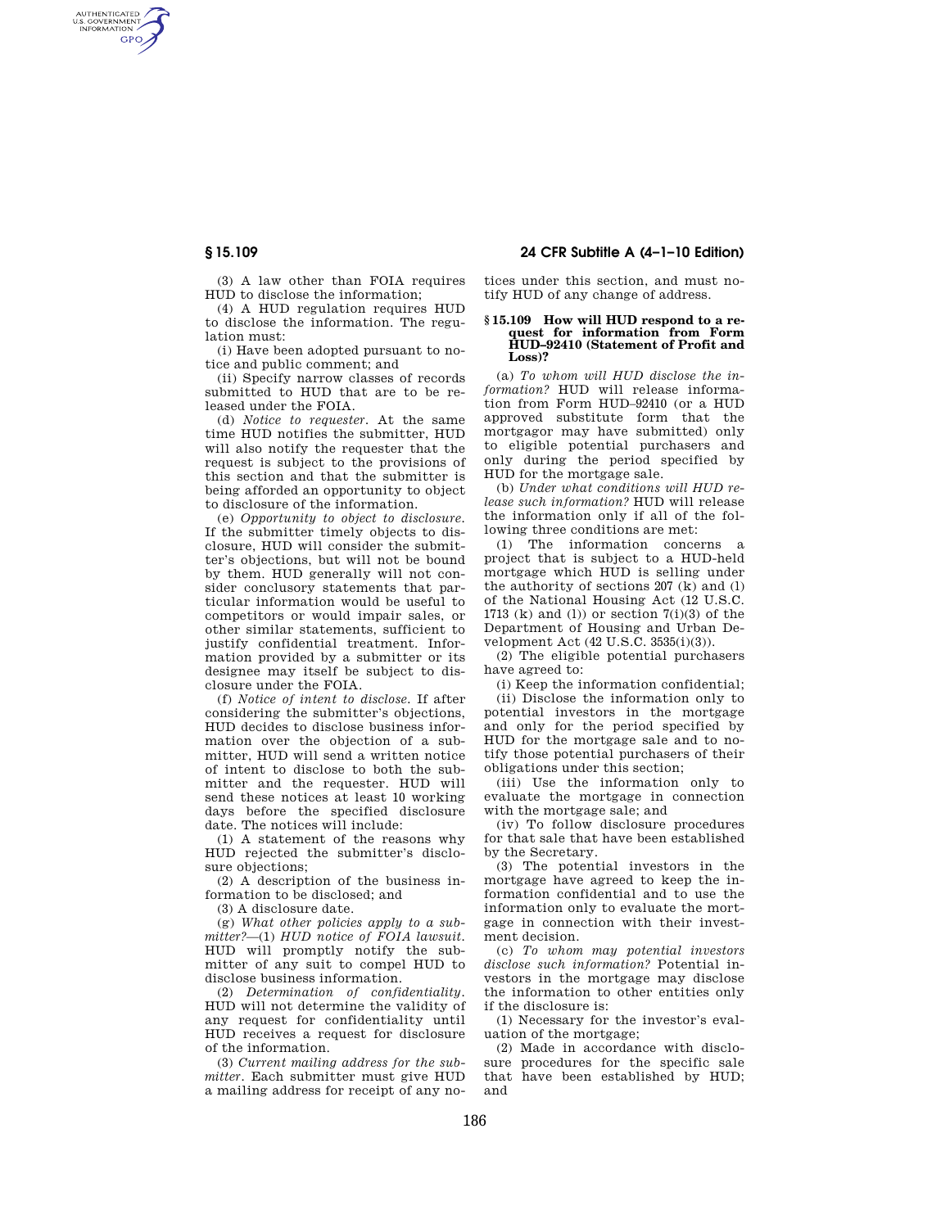AUTHENTICATED<br>U.S. GOVERNMENT<br>INFORMATION **GPO** 

> (3) A law other than FOIA requires HUD to disclose the information;

(4) A HUD regulation requires HUD to disclose the information. The regulation must:

(i) Have been adopted pursuant to notice and public comment; and

(ii) Specify narrow classes of records submitted to HUD that are to be released under the FOIA.

(d) *Notice to requester.* At the same time HUD notifies the submitter, HUD will also notify the requester that the request is subject to the provisions of this section and that the submitter is being afforded an opportunity to object to disclosure of the information.

(e) *Opportunity to object to disclosure.*  If the submitter timely objects to disclosure, HUD will consider the submitter's objections, but will not be bound by them. HUD generally will not consider conclusory statements that particular information would be useful to competitors or would impair sales, or other similar statements, sufficient to justify confidential treatment. Information provided by a submitter or its designee may itself be subject to disclosure under the FOIA.

(f) *Notice of intent to disclose.* If after considering the submitter's objections, HUD decides to disclose business information over the objection of a submitter, HUD will send a written notice of intent to disclose to both the submitter and the requester. HUD will send these notices at least 10 working days before the specified disclosure date. The notices will include:

(1) A statement of the reasons why HUD rejected the submitter's disclosure objections;

(2) A description of the business information to be disclosed; and

(3) A disclosure date.

(g) *What other policies apply to a submitter?*—(1) *HUD notice of FOIA lawsuit.*  HUD will promptly notify the submitter of any suit to compel HUD to disclose business information.

(2) *Determination of confidentiality.*  HUD will not determine the validity of any request for confidentiality until HUD receives a request for disclosure of the information.

(3) *Current mailing address for the submitter.* Each submitter must give HUD a mailing address for receipt of any no-

**§ 15.109 24 CFR Subtitle A (4–1–10 Edition)** 

tices under this section, and must notify HUD of any change of address.

## **§ 15.109 How will HUD respond to a request for information from Form HUD–92410 (Statement of Profit and Loss)?**

(a) *To whom will HUD disclose the information?* HUD will release information from Form HUD–92410 (or a HUD approved substitute form that the mortgagor may have submitted) only to eligible potential purchasers and only during the period specified by HUD for the mortgage sale.

(b) *Under what conditions will HUD release such information?* HUD will release the information only if all of the following three conditions are met:

(1) The information concerns a project that is subject to a HUD-held mortgage which HUD is selling under the authority of sections 207 (k) and (l) of the National Housing Act (12 U.S.C. 1713 (k) and (l)) or section  $7(i)(3)$  of the Department of Housing and Urban Development Act (42 U.S.C. 3535(i)(3)).

(2) The eligible potential purchasers have agreed to:

(i) Keep the information confidential;

(ii) Disclose the information only to potential investors in the mortgage and only for the period specified by HUD for the mortgage sale and to notify those potential purchasers of their obligations under this section;

(iii) Use the information only to evaluate the mortgage in connection with the mortgage sale; and

(iv) To follow disclosure procedures for that sale that have been established by the Secretary.

(3) The potential investors in the mortgage have agreed to keep the information confidential and to use the information only to evaluate the mortgage in connection with their investment decision.

(c) *To whom may potential investors disclose such information?* Potential investors in the mortgage may disclose the information to other entities only if the disclosure is:

(1) Necessary for the investor's evaluation of the mortgage;

(2) Made in accordance with disclosure procedures for the specific sale that have been established by HUD; and